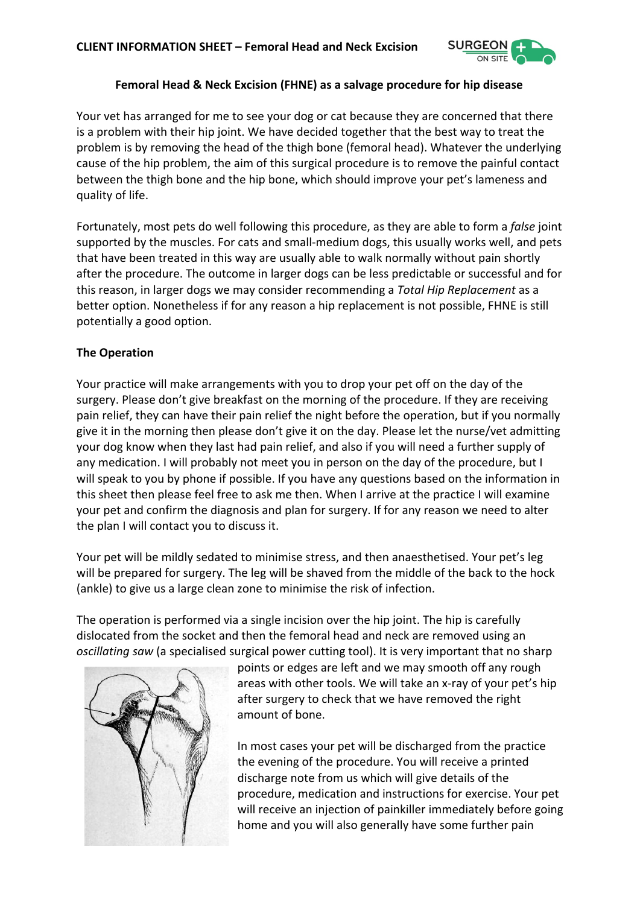

### **Femoral Head & Neck Excision (FHNE) as a salvage procedure for hip disease**

Your vet has arranged for me to see your dog or cat because they are concerned that there is a problem with their hip joint. We have decided together that the best way to treat the problem is by removing the head of the thigh bone (femoral head). Whatever the underlying cause of the hip problem, the aim of this surgical procedure is to remove the painful contact between the thigh bone and the hip bone, which should improve your pet's lameness and quality of life.

Fortunately, most pets do well following this procedure, as they are able to form a *false* joint supported by the muscles. For cats and small-medium dogs, this usually works well, and pets that have been treated in this way are usually able to walk normally without pain shortly after the procedure. The outcome in larger dogs can be less predictable or successful and for this reason, in larger dogs we may consider recommending a *Total Hip Replacement* as a better option. Nonetheless if for any reason a hip replacement is not possible, FHNE is still potentially a good option.

## **The Operation**

Your practice will make arrangements with you to drop your pet off on the day of the surgery. Please don't give breakfast on the morning of the procedure. If they are receiving pain relief, they can have their pain relief the night before the operation, but if you normally give it in the morning then please don't give it on the day. Please let the nurse/vet admitting your dog know when they last had pain relief, and also if you will need a further supply of any medication. I will probably not meet you in person on the day of the procedure, but I will speak to you by phone if possible. If you have any questions based on the information in this sheet then please feel free to ask me then. When I arrive at the practice I will examine your pet and confirm the diagnosis and plan for surgery. If for any reason we need to alter the plan I will contact you to discuss it.

Your pet will be mildly sedated to minimise stress, and then anaesthetised. Your pet's leg will be prepared for surgery. The leg will be shaved from the middle of the back to the hock (ankle) to give us a large clean zone to minimise the risk of infection.

The operation is performed via a single incision over the hip joint. The hip is carefully dislocated from the socket and then the femoral head and neck are removed using an *oscillating saw* (a specialised surgical power cutting tool). It is very important that no sharp



points or edges are left and we may smooth off any rough areas with other tools. We will take an x-ray of your pet's hip after surgery to check that we have removed the right amount of bone.

In most cases your pet will be discharged from the practice the evening of the procedure. You will receive a printed discharge note from us which will give details of the procedure, medication and instructions for exercise. Your pet will receive an injection of painkiller immediately before going home and you will also generally have some further pain